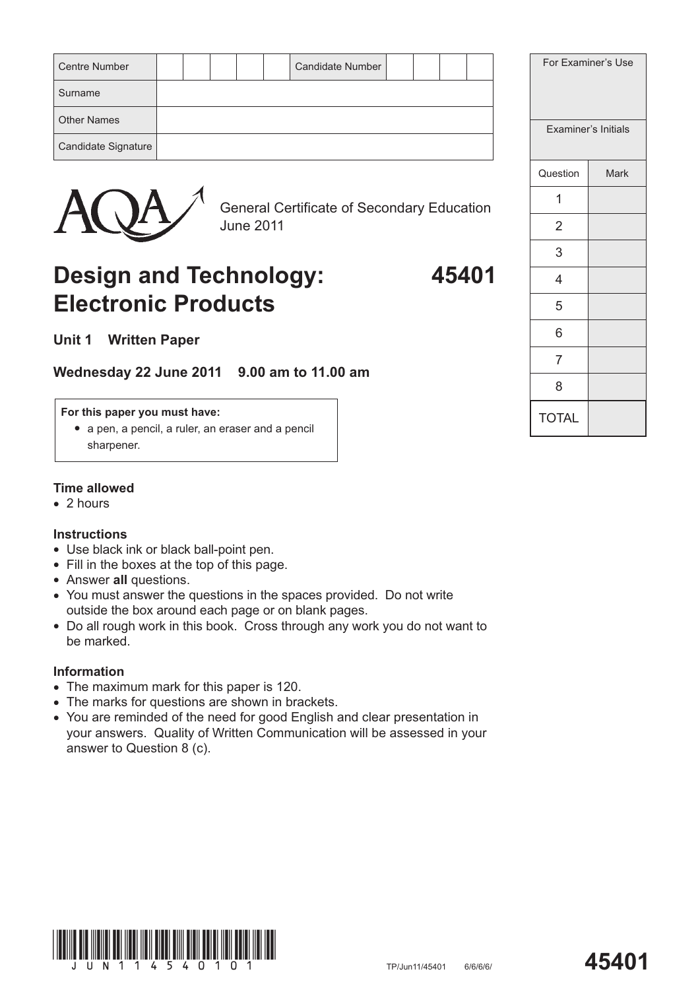| <b>Centre Number</b> |  |  | <b>Candidate Number</b> |  |  | For |
|----------------------|--|--|-------------------------|--|--|-----|
| Surname              |  |  |                         |  |  |     |
| <b>Other Names</b>   |  |  |                         |  |  | Exa |
| Candidate Signature  |  |  |                         |  |  |     |



General Certificate of Secondary Education June 2011

# **Design and Technology: 45401 Electronic Products**

**Unit 1 Written Paper**

## **Wednesday 22 June 2011 9.00 am to 11.00 am**

#### **For this paper you must have:**

*#* a pen, a pencil, a ruler, an eraser and a pencil sharpener.

#### **Time allowed**

*#* 2 hours

### **Instructions**

- *#* Use black ink or black ball-point pen.
- Fill in the boxes at the top of this page.
- *#* Answer **all** questions.
- *#* You must answer the questions in the spaces provided. Do not write outside the box around each page or on blank pages.
- *#* Do all rough work in this book. Cross through any work you do not want to be marked.

### **Information**

- The maximum mark for this paper is 120.
- The marks for questions are shown in brackets.
- *#* You are reminded of the need for good English and clear presentation in your answers. Quality of Written Communication will be assessed in your answer to Question 8 (c).



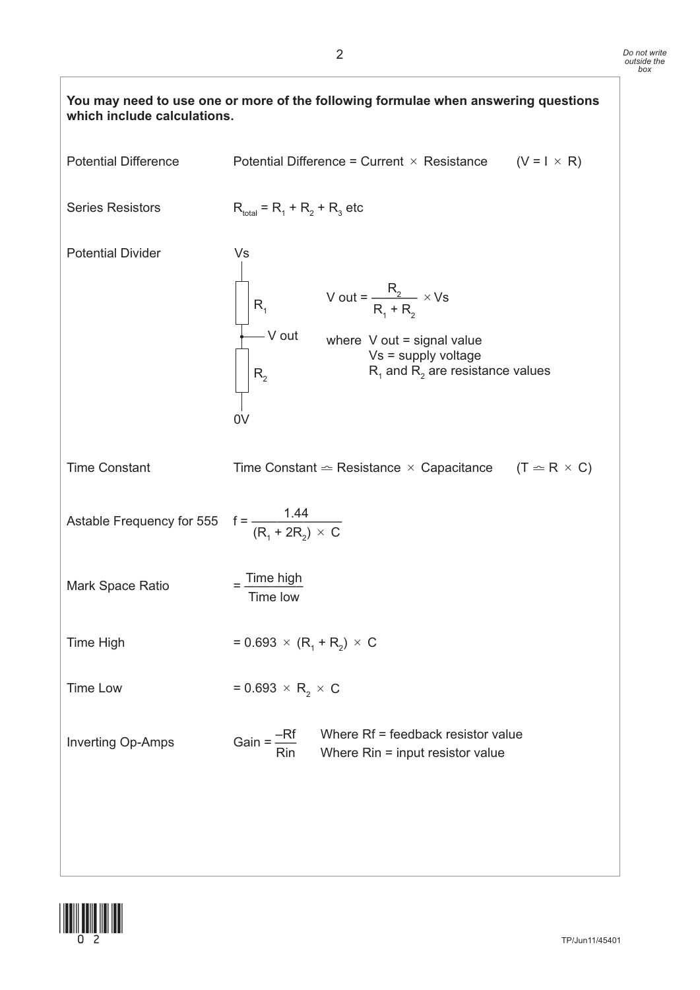

![](_page_1_Picture_2.jpeg)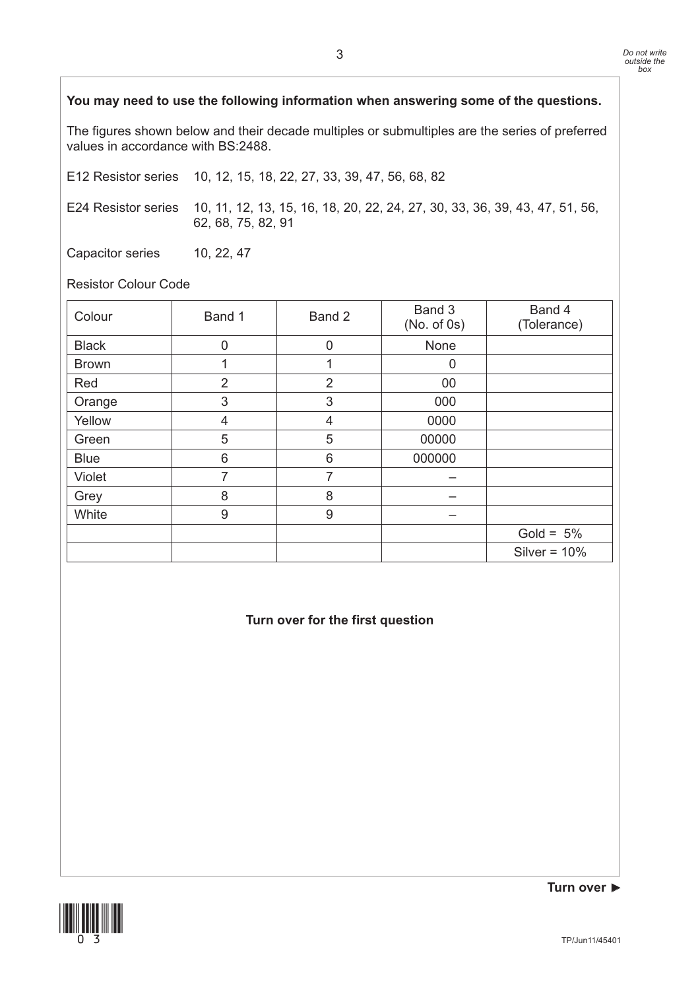### **You may need to use the following information when answering some of the questions.**

The figures shown below and their decade multiples or submultiples are the series of preferred values in accordance with BS:2488.

E12 Resistor series 10, 12, 15, 18, 22, 27, 33, 39, 47, 56, 68, 82

E24 Resistor series 10, 11, 12, 13, 15, 16, 18, 20, 22, 24, 27, 30, 33, 36, 39, 43, 47, 51, 56, 62, 68, 75, 82, 91

Capacitor series 10, 22, 47

Resistor Colour Code

| Colour       | Band 1         | Band 2         | Band 3<br>$(No. of 0s)$ | Band 4<br>(Tolerance) |
|--------------|----------------|----------------|-------------------------|-----------------------|
| <b>Black</b> | 0              | 0              | None                    |                       |
| <b>Brown</b> |                | 1              | $\overline{0}$          |                       |
| Red          | $\overline{2}$ | $\overline{2}$ | 00                      |                       |
| Orange       | 3              | 3              | 000                     |                       |
| Yellow       | $\overline{4}$ | 4              | 0000                    |                       |
| Green        | 5              | 5              | 00000                   |                       |
| <b>Blue</b>  | 6              | 6              | 000000                  |                       |
| Violet       | 7              | 7              |                         |                       |
| Grey         | 8              | 8              |                         |                       |
| White        | 9              | 9              |                         |                       |
|              |                |                |                         | Gold = $5\%$          |
|              |                |                |                         | Silver = $10\%$       |

**Turn over for the first question**

![](_page_2_Picture_9.jpeg)

**Turn over 6**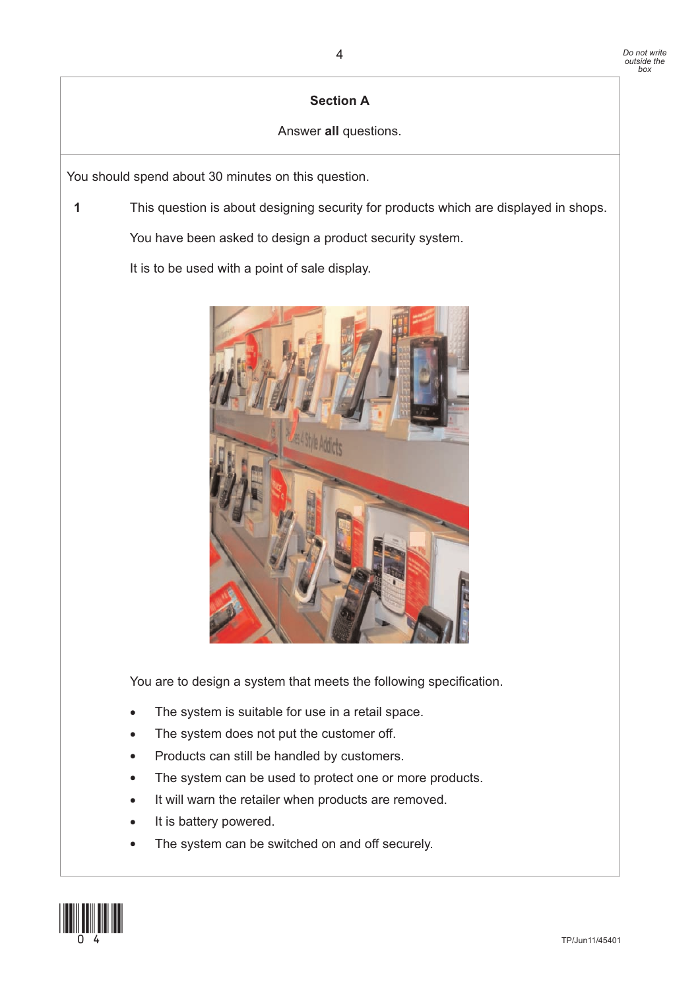## **Section A**

## Answer **all** questions.

You should spend about 30 minutes on this question.

**1** This question is about designing security for products which are displayed in shops.

You have been asked to design a product security system.

It is to be used with a point of sale display.

![](_page_3_Picture_7.jpeg)

You are to design a system that meets the following specification.

- The system is suitable for use in a retail space.
- The system does not put the customer off.
- Products can still be handled by customers.
- The system can be used to protect one or more products.
- It will warn the retailer when products are removed.
- It is battery powered.
- The system can be switched on and off securely.

![](_page_3_Picture_16.jpeg)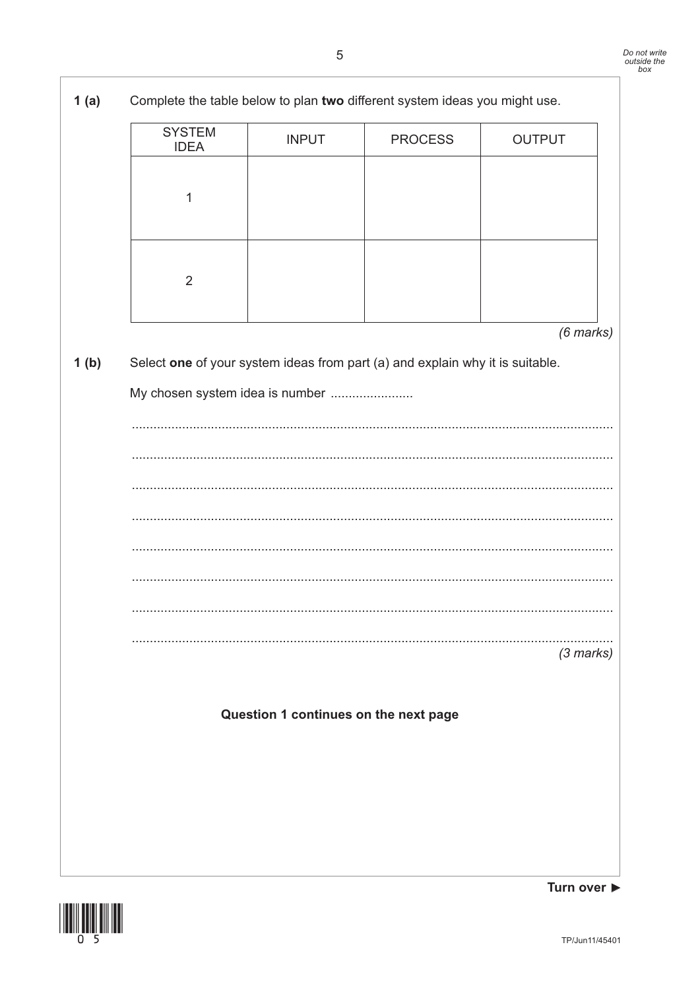![](_page_4_Picture_2.jpeg)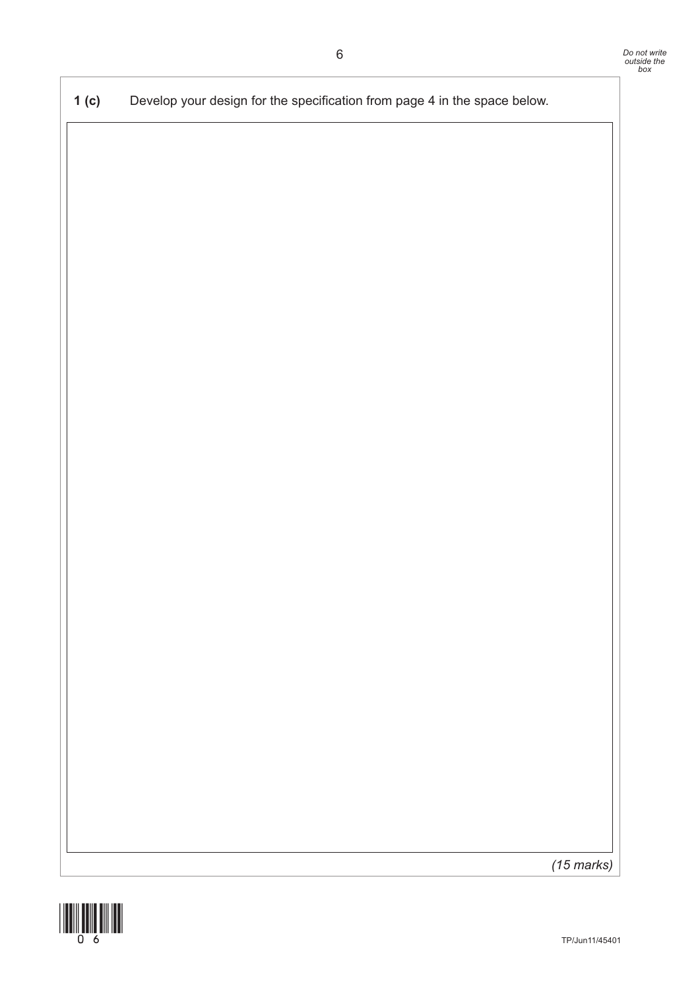**1 (c)** Develop your design for the specification from page 4 in the space below.

*(15 marks)*

![](_page_5_Picture_3.jpeg)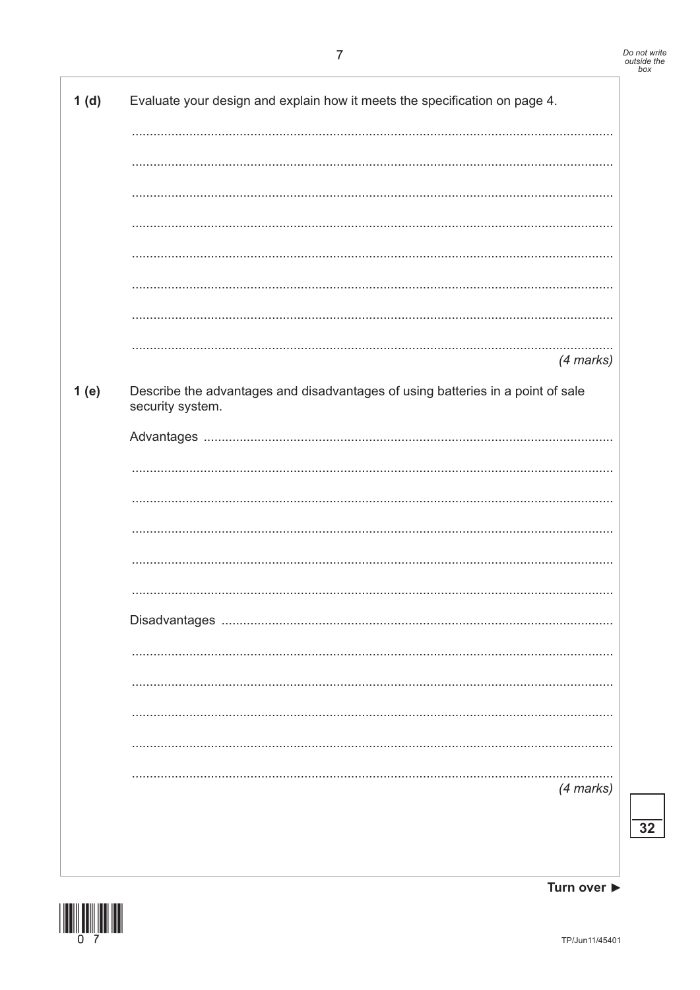| 1(d) | Evaluate your design and explain how it meets the specification on page 4.                          |
|------|-----------------------------------------------------------------------------------------------------|
|      |                                                                                                     |
|      |                                                                                                     |
|      |                                                                                                     |
|      |                                                                                                     |
|      |                                                                                                     |
|      |                                                                                                     |
|      |                                                                                                     |
|      |                                                                                                     |
|      | $(4$ marks $)$                                                                                      |
| 1(e) | Describe the advantages and disadvantages of using batteries in a point of sale<br>security system. |
|      |                                                                                                     |
|      |                                                                                                     |
|      |                                                                                                     |
|      |                                                                                                     |
|      |                                                                                                     |
|      |                                                                                                     |
|      |                                                                                                     |
|      |                                                                                                     |
|      |                                                                                                     |
|      |                                                                                                     |
|      |                                                                                                     |
|      |                                                                                                     |
|      | $(4$ marks $)$                                                                                      |
|      |                                                                                                     |
|      |                                                                                                     |

![](_page_6_Picture_2.jpeg)

 $\overline{32}$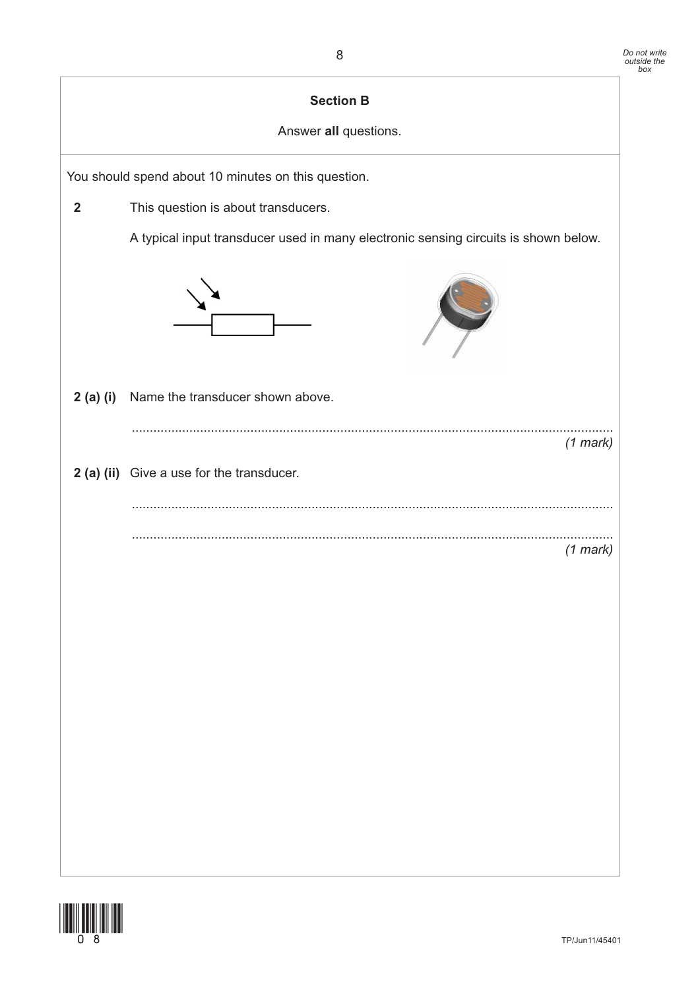| <b>Section B</b><br>Answer all questions. |                                                                                     |  |  |  |
|-------------------------------------------|-------------------------------------------------------------------------------------|--|--|--|
|                                           | You should spend about 10 minutes on this question.                                 |  |  |  |
| $\overline{2}$                            | This question is about transducers.                                                 |  |  |  |
|                                           | A typical input transducer used in many electronic sensing circuits is shown below. |  |  |  |
|                                           |                                                                                     |  |  |  |
| 2(a)(i)                                   | Name the transducer shown above.                                                    |  |  |  |
|                                           | $(1$ mark)                                                                          |  |  |  |
|                                           | 2 (a) (ii) Give a use for the transducer.                                           |  |  |  |
|                                           |                                                                                     |  |  |  |
|                                           | $(1$ mark)                                                                          |  |  |  |
|                                           |                                                                                     |  |  |  |
|                                           |                                                                                     |  |  |  |
|                                           |                                                                                     |  |  |  |
|                                           |                                                                                     |  |  |  |
|                                           |                                                                                     |  |  |  |
|                                           |                                                                                     |  |  |  |

![](_page_7_Picture_2.jpeg)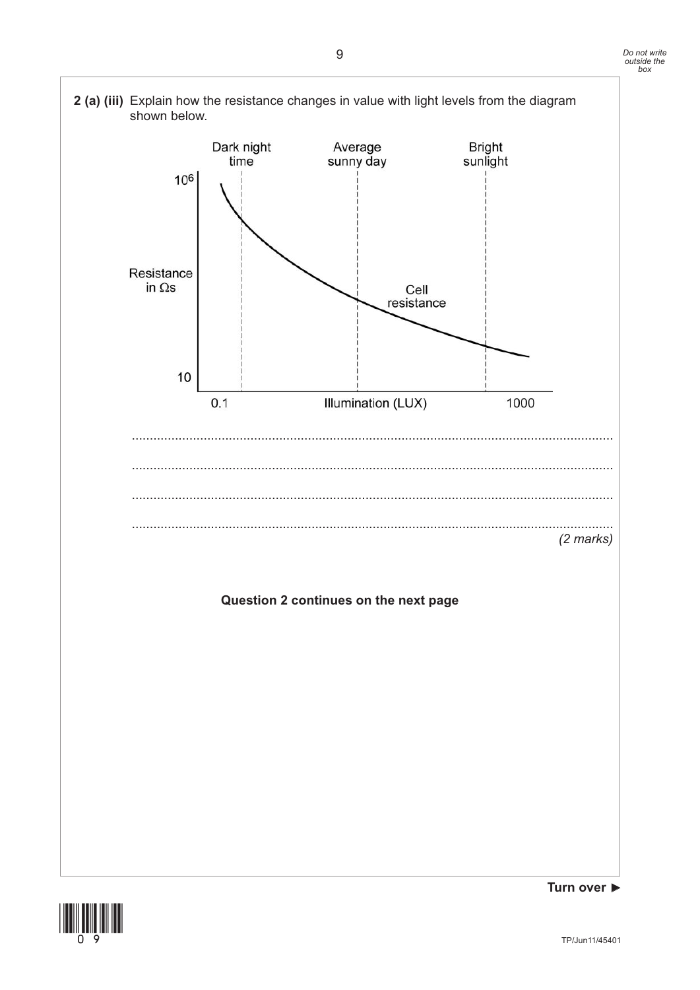![](_page_8_Figure_1.jpeg)

![](_page_8_Picture_2.jpeg)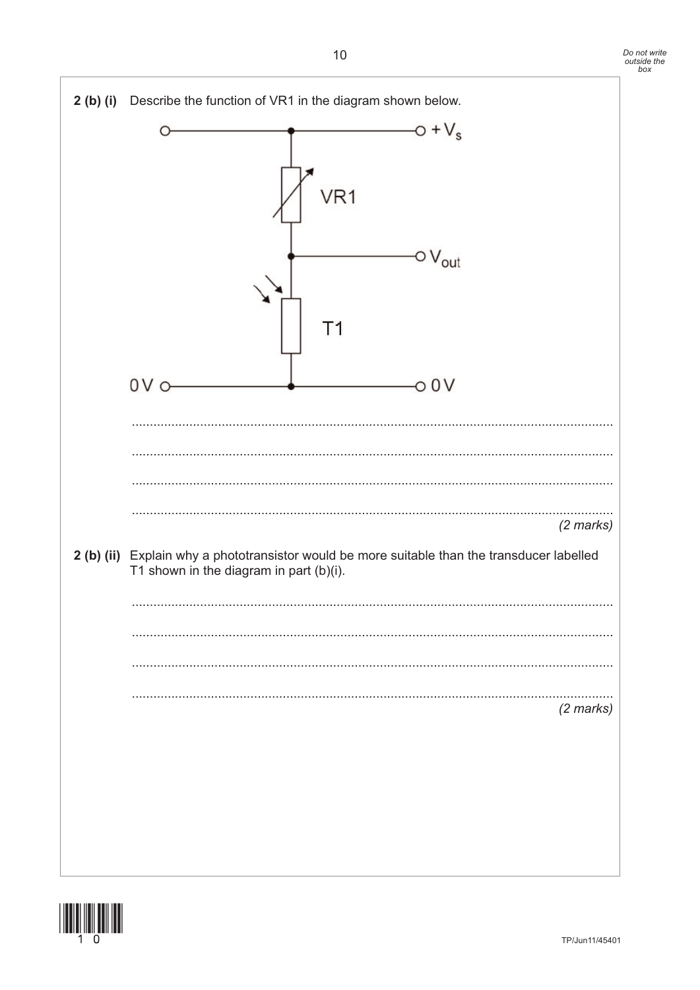![](_page_9_Figure_1.jpeg)

![](_page_9_Picture_2.jpeg)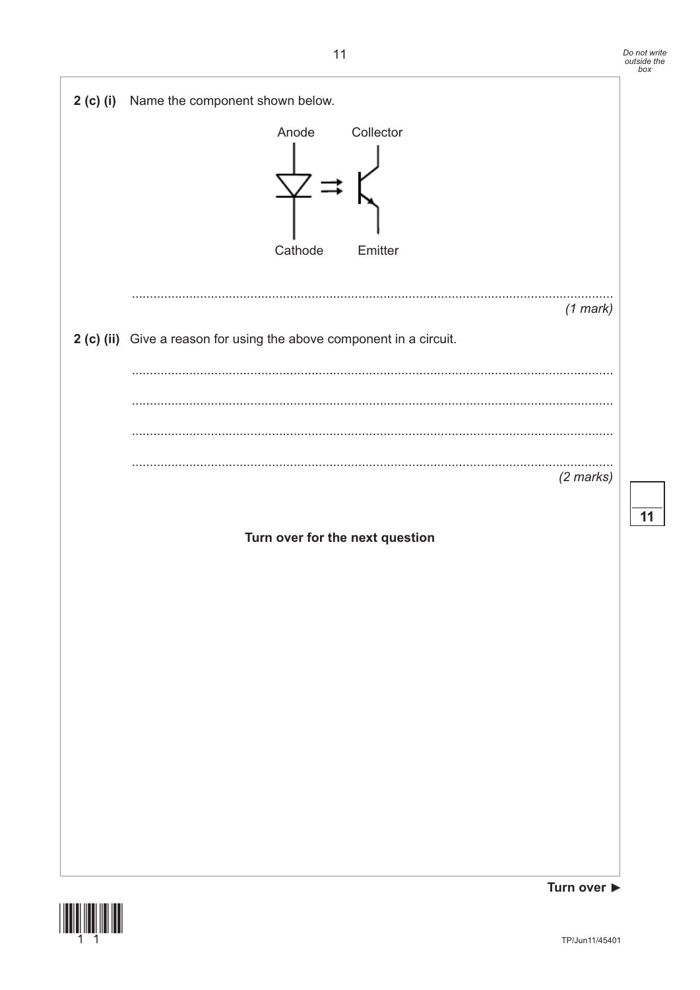11

![](_page_10_Figure_1.jpeg)

![](_page_10_Picture_2.jpeg)

Turn over ▶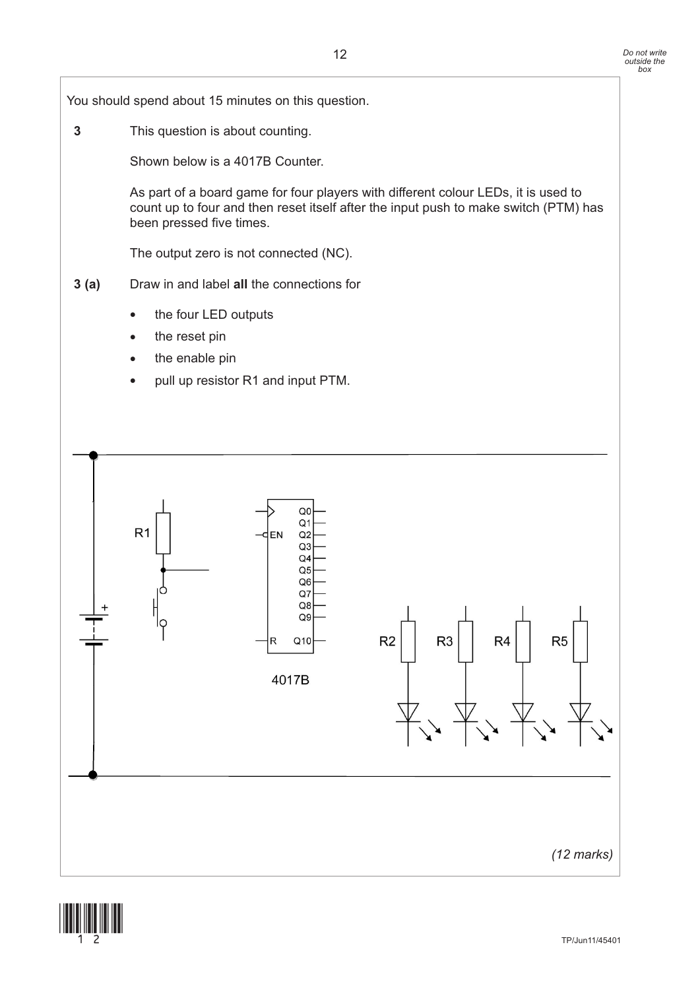![](_page_11_Figure_2.jpeg)

![](_page_11_Picture_3.jpeg)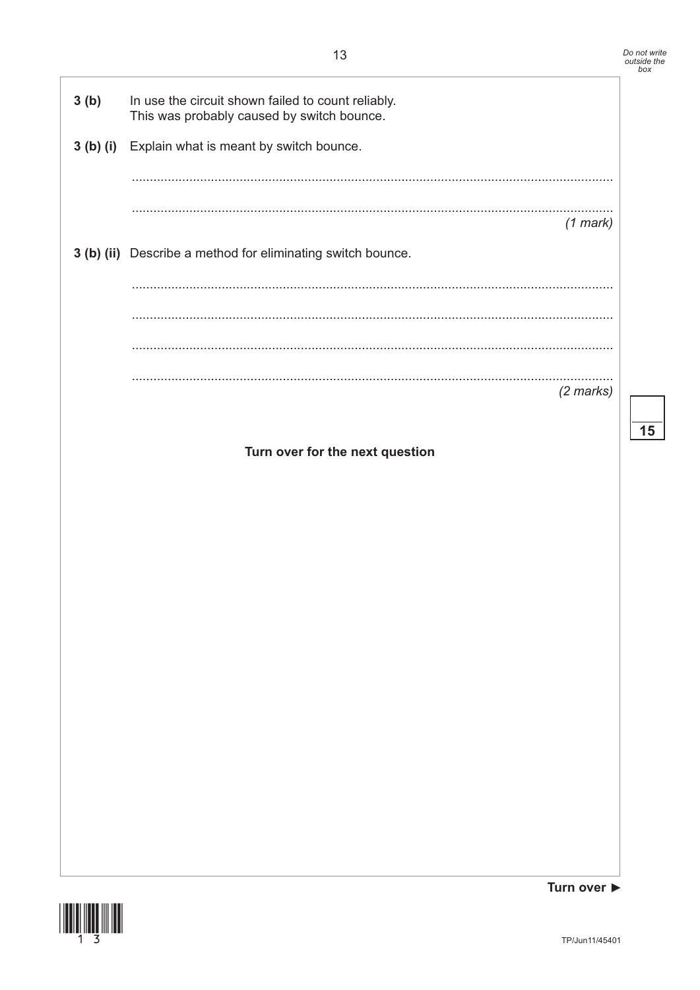![](_page_12_Figure_1.jpeg)

![](_page_12_Picture_2.jpeg)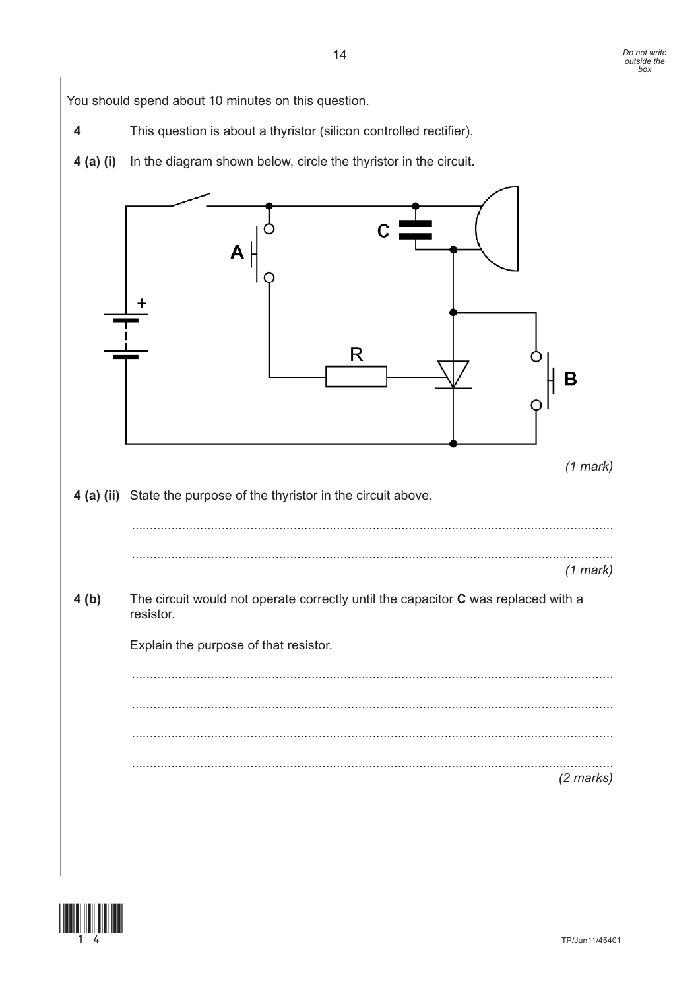You should spend about 10 minutes on this question.

**4** This question is about a thyristor (silicon controlled rectifier). **4 (a) (i)** In the diagram shown below, circle the thyristor in the circuit. R B *(1 mark)* **4 (a) (ii)** State the purpose of the thyristor in the circuit above. ...................................................................................................................................... ...................................................................................................................................... *(1 mark)* **4 (b)** The circuit would not operate correctly until the capacitor **C** was replaced with a resistor. Explain the purpose of that resistor. ...................................................................................................................................... ...................................................................................................................................... ...................................................................................................................................... ...................................................................................................................................... *(2 marks)*

![](_page_13_Picture_3.jpeg)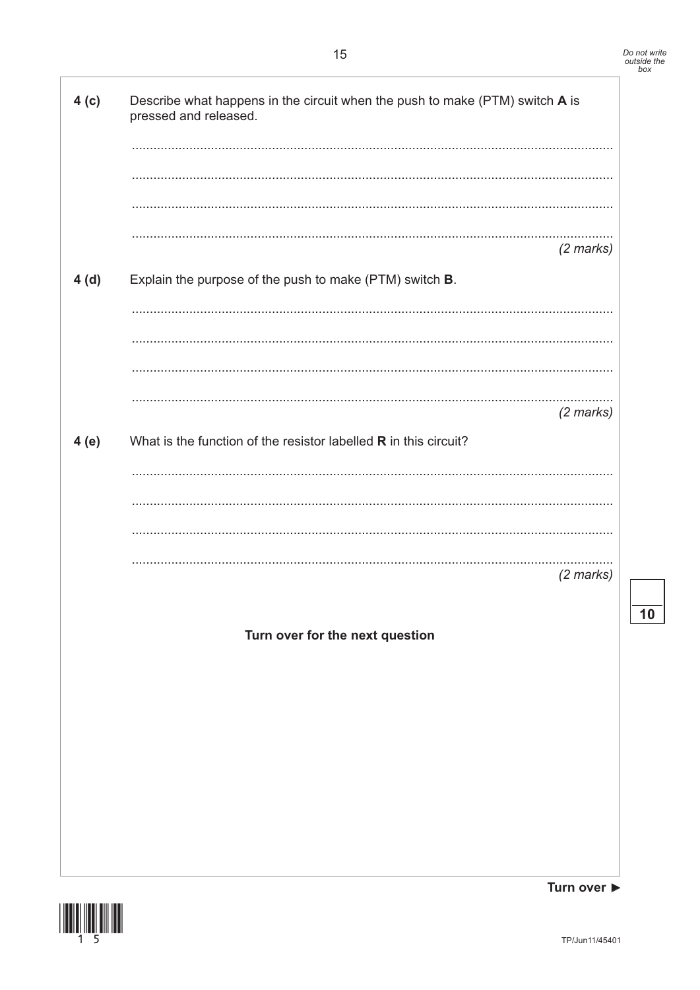10

Turn over ▶

![](_page_14_Picture_3.jpeg)

TP/Jun11/45401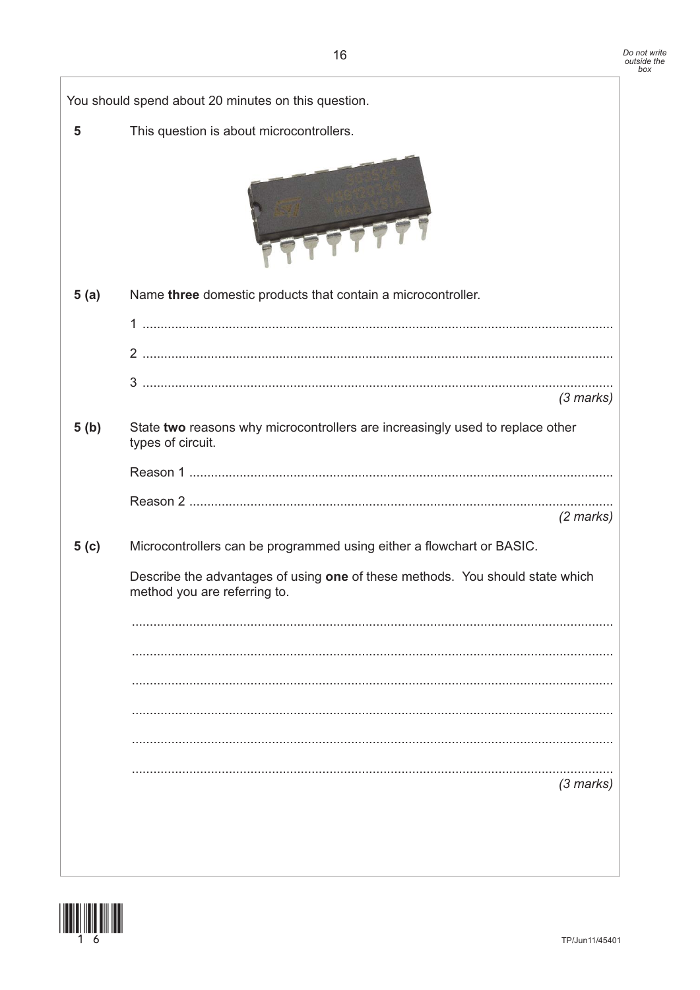|        | You should spend about 20 minutes on this question.                                                           |
|--------|---------------------------------------------------------------------------------------------------------------|
| 5      | This question is about microcontrollers.                                                                      |
|        |                                                                                                               |
| 5(a)   | Name three domestic products that contain a microcontroller.                                                  |
|        |                                                                                                               |
|        |                                                                                                               |
|        | $(3$ marks)                                                                                                   |
|        |                                                                                                               |
| 5(b)   | State two reasons why microcontrollers are increasingly used to replace other<br>types of circuit.            |
|        |                                                                                                               |
|        |                                                                                                               |
|        | $(2$ marks)                                                                                                   |
| 5( c ) | Microcontrollers can be programmed using either a flowchart or BASIC.                                         |
|        | Describe the advantages of using one of these methods. You should state which<br>method you are referring to. |
|        |                                                                                                               |
|        |                                                                                                               |
|        |                                                                                                               |
|        |                                                                                                               |
|        |                                                                                                               |
|        | $(3$ marks)                                                                                                   |
|        |                                                                                                               |
|        |                                                                                                               |
|        |                                                                                                               |

![](_page_15_Picture_3.jpeg)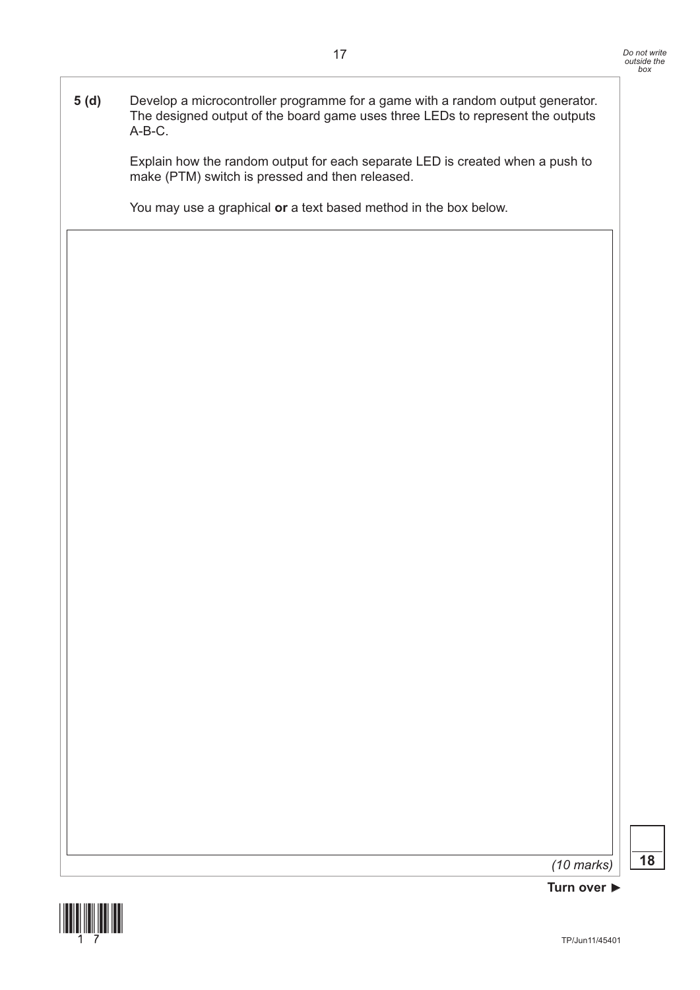**5 (d)** Develop a microcontroller programme for a game with a random output generator. The designed output of the board game uses three LEDs to represent the outputs A-B-C.

> Explain how the random output for each separate LED is created when a push to make (PTM) switch is pressed and then released.

You may use a graphical **or** a text based method in the box below.

*(10 marks)* **18**

![](_page_16_Picture_6.jpeg)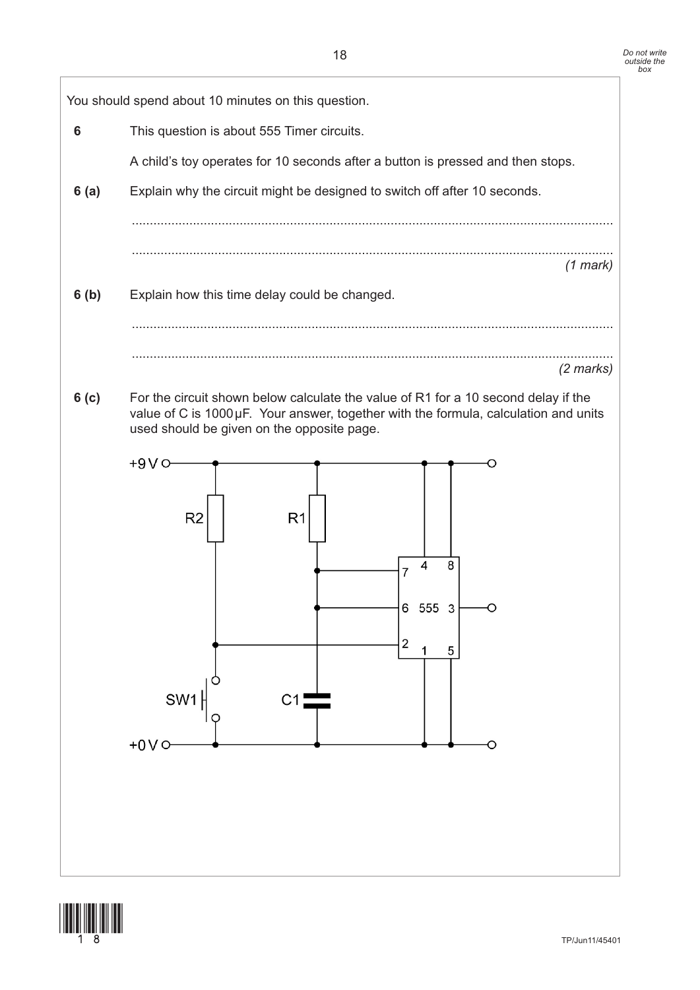![](_page_17_Figure_2.jpeg)

![](_page_17_Picture_3.jpeg)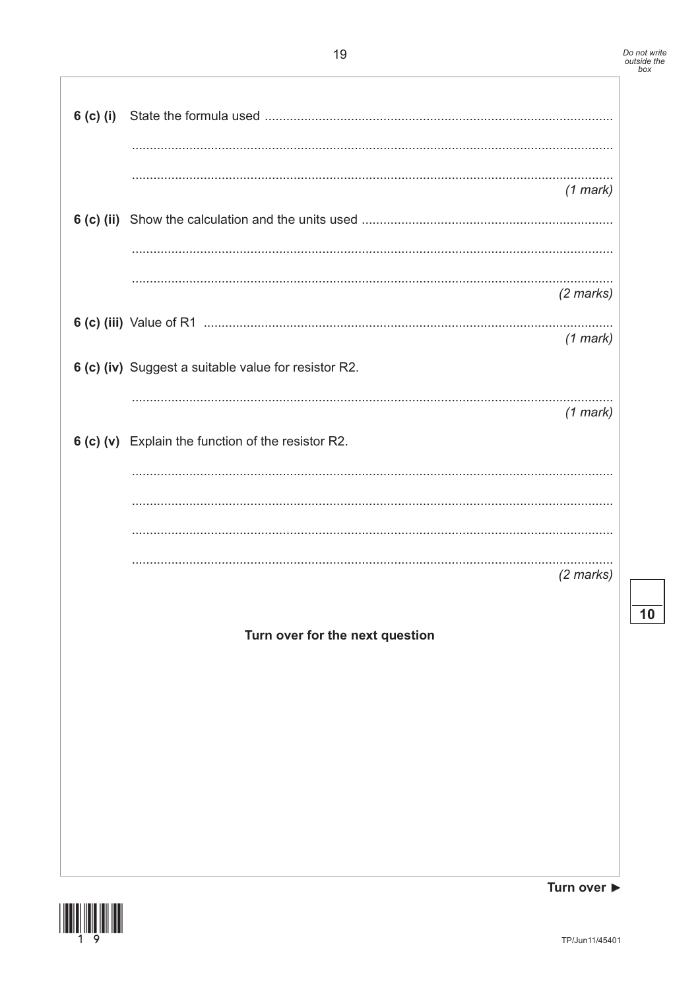| $6$ (c) (i) |                                                                    |
|-------------|--------------------------------------------------------------------|
|             | $(1$ mark)                                                         |
|             | (2 marks)                                                          |
|             | $(1$ mark)<br>6 (c) (iv) Suggest a suitable value for resistor R2. |
|             | $(1$ mark)<br>6 (c) (v) Explain the function of the resistor R2.   |
|             |                                                                    |
|             | $(2$ marks)                                                        |
|             | Turn over for the next question                                    |
|             |                                                                    |
|             |                                                                    |
|             |                                                                    |

![](_page_18_Picture_3.jpeg)

 $\overline{10}$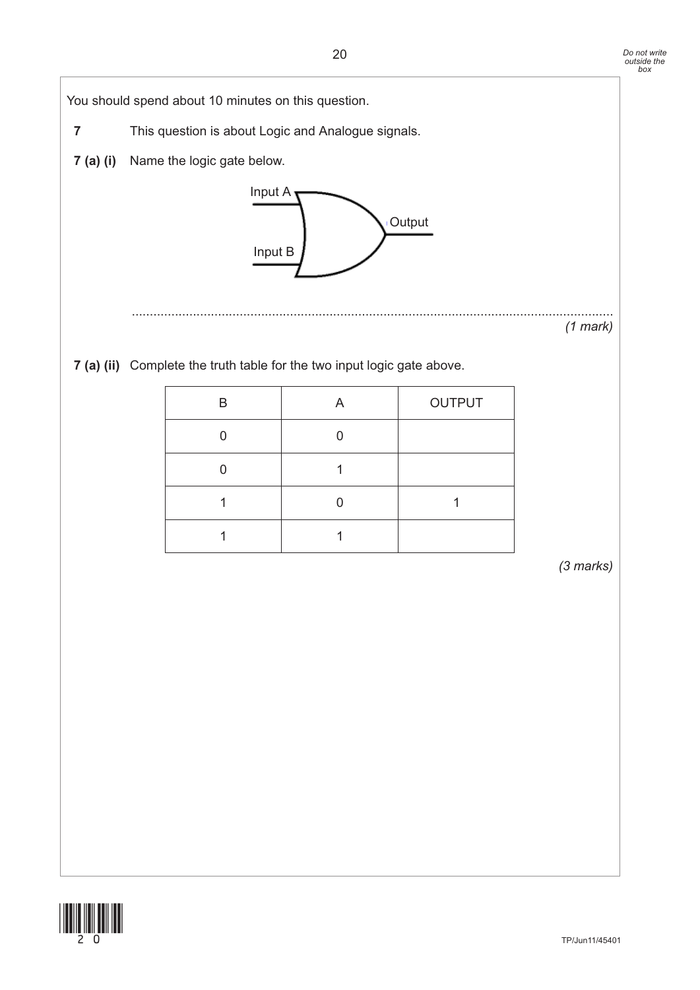You should spend about 10 minutes on this question. **7** This question is about Logic and Analogue signals. **7 (a) (i)** Name the logic gate below. ...................................................................................................................................... *(1 mark)* **7 (a) (ii)** Complete the truth table for the two input logic gate above. *(3 marks)* This question is about Logic and Analogue signals and  $\mathcal{L}_{\mathcal{A}}$ (1) marks and the control of the control of the control of  $\frac{1}{\sqrt{2}}$  in the truth table for the  $2$  input logic gate above (4 marks) above (4 marks) above (4 marks)  $\mathcal{F}_{\mathcal{F}}(t)$  in the ceiving digital signal level signal levels as logic High or Low to switch or  $\mathcal{F}_{\mathcal{F}}(t)$ <u>B A QUE A QUE A QUE A QUE A QUE A QUE A QUE A QUE A QUE A QUE A QUE A QUE A QUE A QUE A QUE A QUE A QUE A QUE</u> 000 million 0 1  $\left( \cdot \right)$ B A OUTPUT 0 0 0 1 1 0 1 1 1 Input A Input B **Output** 

![](_page_19_Picture_3.jpeg)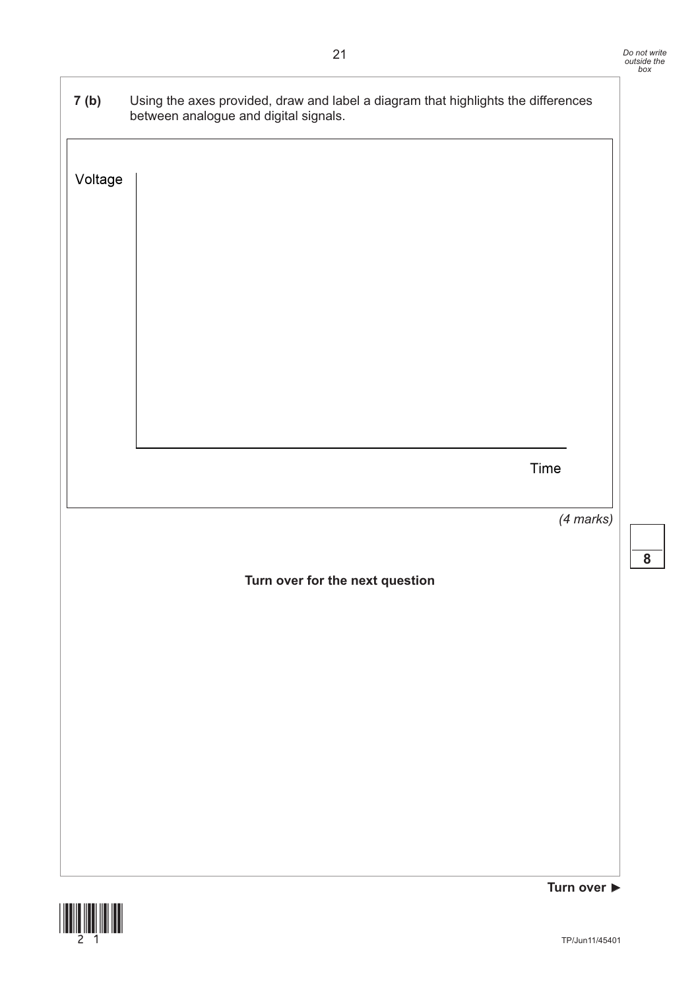**8**

| 7(b)    | Using the axes provided, draw and label a diagram that highlights the differences<br>between analogue and digital signals. |  |
|---------|----------------------------------------------------------------------------------------------------------------------------|--|
| Voltage |                                                                                                                            |  |
|         |                                                                                                                            |  |
|         |                                                                                                                            |  |
|         |                                                                                                                            |  |
|         |                                                                                                                            |  |
|         |                                                                                                                            |  |
|         |                                                                                                                            |  |
|         |                                                                                                                            |  |
|         | Time                                                                                                                       |  |
|         |                                                                                                                            |  |
|         | (4 marks)                                                                                                                  |  |
|         | Turn over for the next question                                                                                            |  |
|         |                                                                                                                            |  |
|         |                                                                                                                            |  |
|         |                                                                                                                            |  |
|         |                                                                                                                            |  |
|         |                                                                                                                            |  |
|         |                                                                                                                            |  |
|         |                                                                                                                            |  |
|         |                                                                                                                            |  |
|         | Turn over $\blacktriangleright$                                                                                            |  |

![](_page_20_Picture_2.jpeg)

 $\overline{\phantom{a}}$  (ii) Analogue signals and Digital signals are different. Draw and label a different. Draw and label a different  $\overline{\phantom{a}}$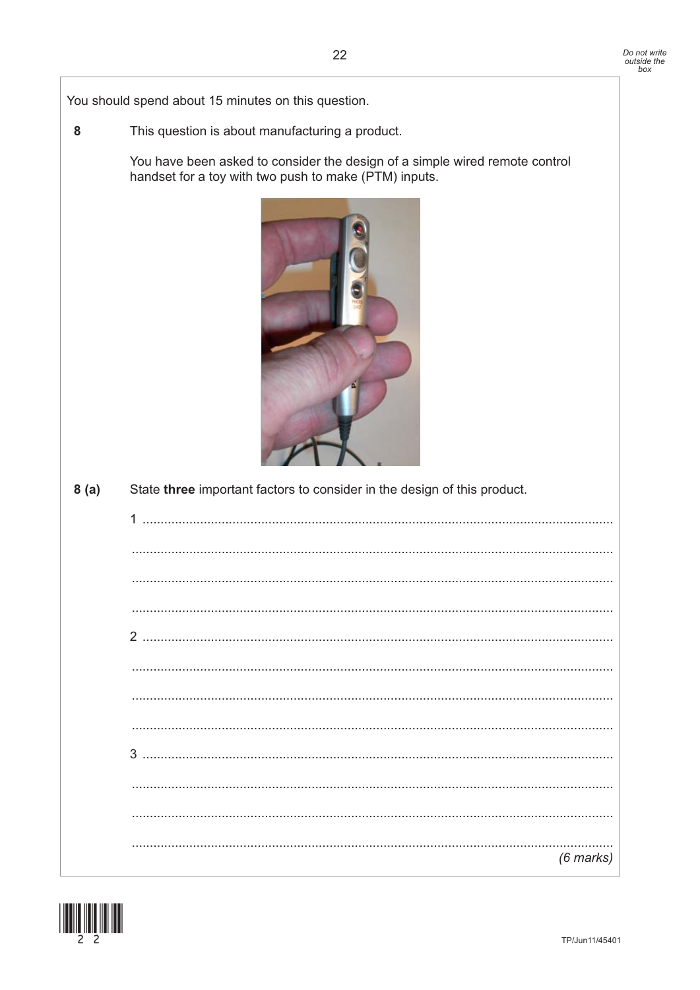You should spend about 15 minutes on this question.

8 This question is about manufacturing a product.

> You have been asked to consider the design of a simple wired remote control handset for a toy with two push to make (PTM) inputs.

![](_page_21_Picture_4.jpeg)

| 8(a) | State three important factors to consider in the design of this product. |
|------|--------------------------------------------------------------------------|
|      |                                                                          |
|      |                                                                          |
|      |                                                                          |
|      |                                                                          |
|      |                                                                          |
|      |                                                                          |
|      |                                                                          |
|      |                                                                          |
|      |                                                                          |
|      |                                                                          |
|      |                                                                          |
|      | $(6$ marks $)$                                                           |

![](_page_21_Picture_6.jpeg)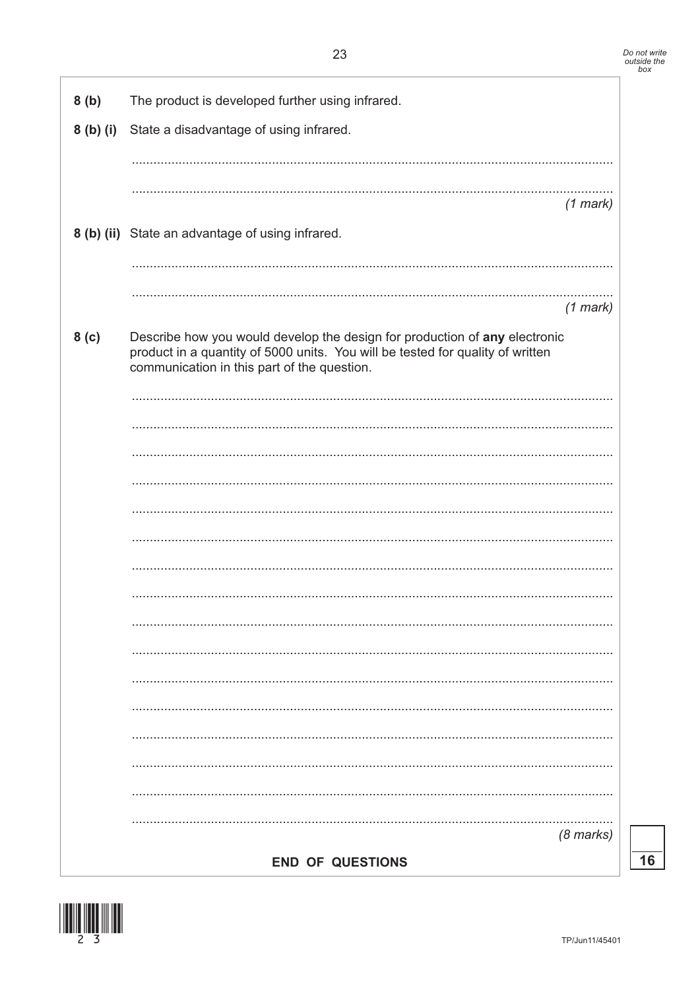| 8(b)             | The product is developed further using infrared.                                                                                                                                                            |
|------------------|-------------------------------------------------------------------------------------------------------------------------------------------------------------------------------------------------------------|
|                  | 8 (b) (i) State a disadvantage of using infrared.                                                                                                                                                           |
|                  |                                                                                                                                                                                                             |
|                  | $(1$ mark)                                                                                                                                                                                                  |
|                  | 8 (b) (ii) State an advantage of using infrared.                                                                                                                                                            |
|                  |                                                                                                                                                                                                             |
|                  | $(1$ mark)                                                                                                                                                                                                  |
| 8 <sub>(c)</sub> | Describe how you would develop the design for production of any electronic<br>product in a quantity of 5000 units. You will be tested for quality of written<br>communication in this part of the question. |
|                  |                                                                                                                                                                                                             |
|                  |                                                                                                                                                                                                             |
|                  |                                                                                                                                                                                                             |
|                  |                                                                                                                                                                                                             |
|                  |                                                                                                                                                                                                             |
|                  |                                                                                                                                                                                                             |
|                  |                                                                                                                                                                                                             |
|                  |                                                                                                                                                                                                             |
|                  |                                                                                                                                                                                                             |
|                  |                                                                                                                                                                                                             |
|                  |                                                                                                                                                                                                             |
|                  |                                                                                                                                                                                                             |
|                  |                                                                                                                                                                                                             |
|                  |                                                                                                                                                                                                             |
|                  | $(8 \text{ marks})$                                                                                                                                                                                         |
|                  | <b>END OF QUESTIONS</b>                                                                                                                                                                                     |

![](_page_22_Picture_4.jpeg)